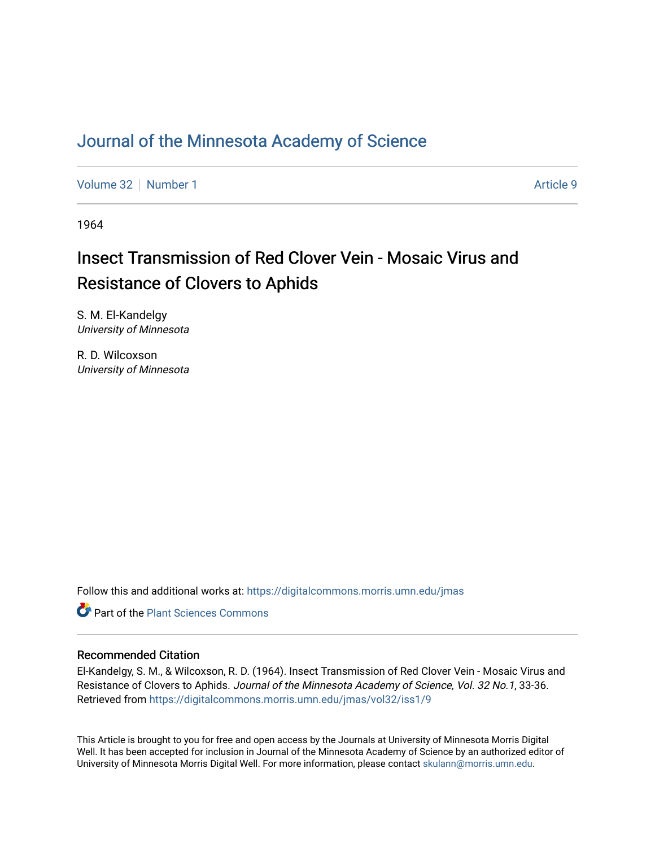### [Journal of the Minnesota Academy of Science](https://digitalcommons.morris.umn.edu/jmas)

[Volume 32](https://digitalcommons.morris.umn.edu/jmas/vol32) [Number 1](https://digitalcommons.morris.umn.edu/jmas/vol32/iss1) Article 9

1964

# Insect Transmission of Red Clover Vein - Mosaic Virus and Resistance of Clovers to Aphids

S. M. El-Kandelgy University of Minnesota

R. D. Wilcoxson University of Minnesota

Follow this and additional works at: [https://digitalcommons.morris.umn.edu/jmas](https://digitalcommons.morris.umn.edu/jmas?utm_source=digitalcommons.morris.umn.edu%2Fjmas%2Fvol32%2Fiss1%2F9&utm_medium=PDF&utm_campaign=PDFCoverPages) 

**C** Part of the [Plant Sciences Commons](https://network.bepress.com/hgg/discipline/102?utm_source=digitalcommons.morris.umn.edu%2Fjmas%2Fvol32%2Fiss1%2F9&utm_medium=PDF&utm_campaign=PDFCoverPages)

### Recommended Citation

El-Kandelgy, S. M., & Wilcoxson, R. D. (1964). Insect Transmission of Red Clover Vein - Mosaic Virus and Resistance of Clovers to Aphids. Journal of the Minnesota Academy of Science, Vol. 32 No.1, 33-36. Retrieved from [https://digitalcommons.morris.umn.edu/jmas/vol32/iss1/9](https://digitalcommons.morris.umn.edu/jmas/vol32/iss1/9?utm_source=digitalcommons.morris.umn.edu%2Fjmas%2Fvol32%2Fiss1%2F9&utm_medium=PDF&utm_campaign=PDFCoverPages)

This Article is brought to you for free and open access by the Journals at University of Minnesota Morris Digital Well. It has been accepted for inclusion in Journal of the Minnesota Academy of Science by an authorized editor of University of Minnesota Morris Digital Well. For more information, please contact [skulann@morris.umn.edu](mailto:skulann@morris.umn.edu).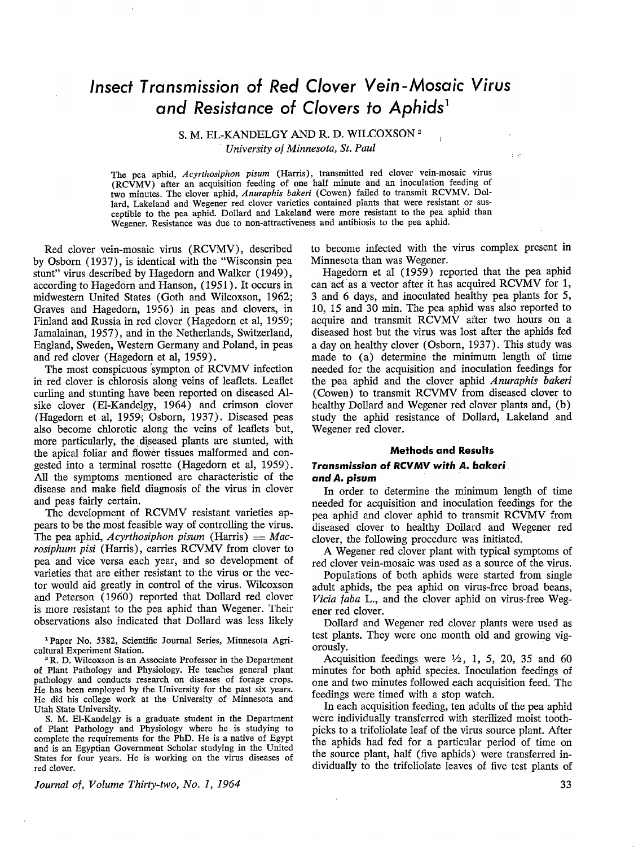## *Insect Transmission* **of** *Red Clover Vein-Mosaic Virus and Resistance* **of** *Clovers to Aphids***<sup>1</sup>**

S. M. EL-KANDELGY AND R. D. WILCOXSON <sup>2</sup>

*University of Minnesota, St. Paul* 

The pea aphid, *Acyrthosiphon pisum* (Harris), transmitted red clover vein-mosaic virus (RCVMV) after an acquisition feeding of one half minute and an inoculation feeding of two minutes. The clover aphid, *Anuraphis bakeri* (Cowen) failed to transmit RCVMV. Dollard, Lakeland and Wegener red clover varieties contained plants that were resistant or susceptible to the pea aphid. Dollard and Lakeland were more resistant to the pea aphid than Wegener. Resistance was due to non-attractiveness and antibiosis to the pea aphid.

Red clover vein-mosaic virus (RCVMV), described by Osborn (1937), is identical with the "Wisconsin pea stunt" virus described by Hagedorn and Walker ( 1949), according to Hagedorn and Hanson, (1951). It occurs in midwestern United States (Goth and Wilcoxson, 1962; Graves and Hagedorn, 1956) in peas and clovers, in Finland and Russia in red clover (Hagedorn et al, 1959; Jamalainan, 1957), and in the Netherlands, Switzerland, England, Sweden, Western Germany and Poland, in peas and red clover (Hagedorn et al, 1959).

The most conspicuous 'sympton of RCVMV infection in red clover is chlorosis along veins of leaflets. Leaflet curling and stunting have been reported on diseased Alsike clover (El-Kandelgy, 1964) and crimson clover (Hagedorn et al, 1959; Osborn, 1937). Diseased peas also become chlorotic along the veins of leaflets but, more particularly, the. diseased plants are stunted, with the apical foliar and flower tissues malformed and congested into a terminal rosette (Hagedorn et al, 1959). All the symptoms mentioned are characteristic of the disease and make field diagnosis of the virus in clover and peas fairly certain.

The development of **RCVMV** resistant varieties appears to be the most feasible way of controlling the virus. The pea aphid, *Acyrthosiphon pisum* (Harris)  $=$  *Macrosiphum pisi* (Harris), carries **RCVMV** from clover to pea and vice versa each year, and so development of varieties that are either resistant to the virus or the vector would aid greatly in control of the virus. Wilcoxson and Peterson ( 1960) reported that Dollard red clover is more resistant to the pea aphid than Wegener. Their observations also indicated that Dollard was less likely

<sup>1</sup> Paper No. 5382, Scientific Journal Series, Minnesota Agricultural Experiment Station.

• R. D. Wilcoxson is an Associate Professor in the Department of Plant Pathology and Physiology. He teaches general plant pathology and conducts research on diseases of forage crops. He has been employed by the University for the past six years. He did his college work at the University of Minnesota and Utah State University.

S. M. El-Kandelgy is a graduate student in the Department of Plant Pathology and Physiology where he is studying to complete the requirements for the PhD. He is a native of Egypt and is an Egyptian Government Scholar studying in the United States for four years. He is working on the virus diseases of red clover.

*Journal of, Volume Thirty-two, No. I, 1964* 

to become infected with the virus complex present in Minnesota than was Wegener.

لتفورغ

Hagedorn et al (1959) reported that the pea aphid can act as a vector after it has acquired RCVMV for 1, 3 and 6 days, and inoculated healthy pea plants for 5, 10, 15 and 30 min. The pea aphid was also reported to acquire and transmit RCVMV after two hours on a diseased host but the virus was lost after the aphids fed a day on healthy clover (Osborn, 1937). This study was made to (a) determine the minimum length of time needed for the acquisition and inoculation feedings for the pea aphid and the clover aphid *Anuraphis bakeri*  (Cowen) to transmit RCVMV from diseased clover to healthy Dollard and Wegener red clover plants and, (b) study the aphid resistance of Dollard, Lakeland and Wegener red clover.

#### **Methods and Results**

#### **Transmission of RCVMV with A. bakeri and** *A. pisum*

In order to determine the minimum length of time needed for acquisition and inoculation feedings for the pea aphid and dover aphid to transmit **RCVMV** from diseased clover to healthy Dollard and Wegener red clover, the following procedure was initiated.

**A** Wegener red clover plant with typical symptoms of red clover vein-mosaic was used as a source of the virus.

Populations of both aphids were started from single adult aphids, the pea aphid on virus-free broad beans, *Vicia faba* L., and the clover aphid on virus-free Wegener red clover.

Dollard and Wegener red clover plants were used as test plants. They were one month old and growing vigorously.

Acquisition feedings were  $\frac{1}{2}$ , 1, 5, 20, 35 and 60 minutes for both aphid species. Inoculation feedings of one and two minutes followed each acquisition feed. The feedings were timed with a stop watch.

In each acquisition feeding, ten adults of the pea aphid were individually transferred with sterilized moist toothpicks to a trifoliolate leaf of the virus source plant. After the aphids had fed for a particular period of time on the source plant, half (five aphids) were transferred individually to the trifoliolate leaves of five test plants of

**33**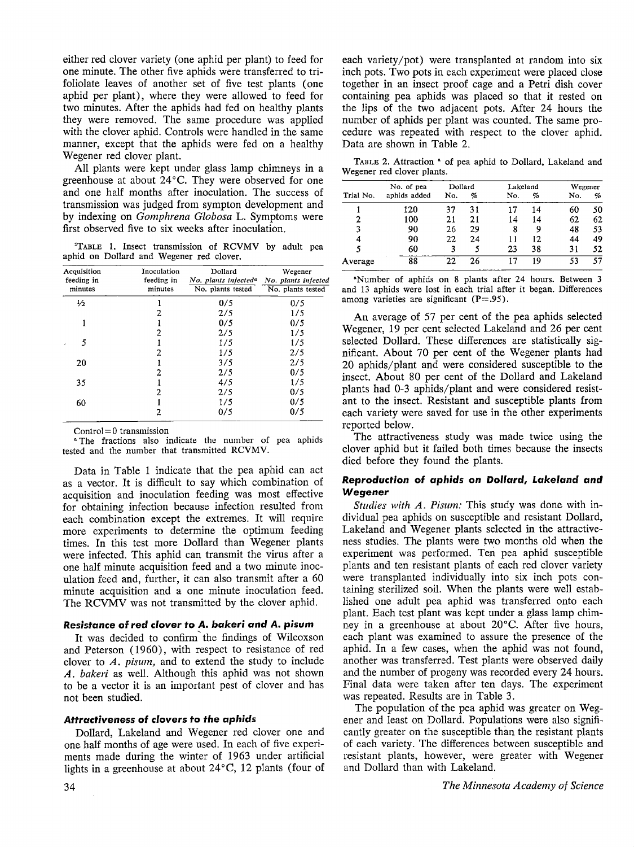either red clover variety (one aphid per plant) to feed for one minute. The other five aphids were transferred to trifoliolate leaves of another set of five test plants ( one aphid per plant), where they were allowed to feed for two minutes. After the aphids had fed on healthy plants they were removed. The same procedure was applied with the clover aphid. Controls were handled in the same manner, except that the aphids were fed on a healthy Wegener red clover plant.

All plants were kept under glass lamp chimneys in a greenhouse at about 24°C. They were observed for one and one half months after inoculation. The success of transmission was judged from sympton development and by indexing on *Gomphrena Globosa* L. Symptoms were first observed five to six weeks after inoculation.

1 TABLE 1. Insect transmission of **RCVMV** by adult pea aphid on Dollard and Wegener red clover.

| Acquisition<br>feeding in | Inoculation<br>feeding in | Dollard<br>No. plants infected <sup>a</sup> | Wegener<br>No. plants infected |
|---------------------------|---------------------------|---------------------------------------------|--------------------------------|
| minutes                   | minutes                   | No. plants tested                           | No. plants tested              |
| $\frac{1}{2}$             |                           | 0/5                                         | 0/5                            |
|                           | 2                         | 2/5                                         | 1/5                            |
|                           |                           | 0/5                                         | 0/5                            |
|                           | 2                         | 2/5                                         | 1/5                            |
| 5                         |                           | 1/5                                         | 1/5                            |
|                           | 2                         | 1/5                                         | 2/5                            |
| 20                        |                           | 3/5                                         | 2/5                            |
|                           | 2                         | 2/5                                         | 0/5                            |
| 35                        |                           | 4/5                                         | 1/5                            |
|                           | 2                         | 2/5                                         | 0/5                            |
| 60                        |                           | 1/5                                         | 0/5                            |
|                           | 2                         | 0/5                                         | 0/5                            |

Control= 0 transmission

<sup>a</sup> The fractions also indicate the number of pea aphids tested and the number that transmitted **RCVMV.** 

Data in Table 1 indicate that the pea aphid can act as a vector. It is difficult to say which combination of acquisition and inoculation feeding was most effective for obtaining infection because infection resulted from each combination except the extremes. It will require more experiments to determine the optimum feeding times. In this test more Dollard than Wegener plants were infected. This aphid can transmit the virus after a one half minute acquisition feed and a two minute inoculation feed and, further, it can also transmit after a 60 minute acquisition and a one minute inoculation feed. The RCVMV was not transmitted by the clover aphid.

#### **Resistance of** *reel* **clover to** *A. bakeri and A.* **pisum**

It was decided to confirm' the findings of Wilcoxson and Peterson (1960) , with respect to resistance of red clover to *A. pisum,* and to extend the study to include *A. bakeri* as well. Although this aphid was not shown to be a vector it is an important pest of clover and has not been studied.

#### **Attractiveness of clovers to** *the apldcls*

Dollard, Lakeland and Wegener red clover one and one half months of age were used. In each of five experiments made during the winter of 1963 under artificial lights in a greenhouse at about 24°C, 12 plants (four of each variety/pot) were transplanted at random into six inch pots. Two pots in each experiment were placed close together in an insect proof cage and a Petri dish cover containing pea aphids was placed so that it rested on the lips of the two adjacent pots. After 24 hours the number of aphids per plant was counted. The same procedure was repeated with respect to the clover aphid. Data are shown in Table 2.

TABLE 2. Attraction • of pea aphid to Dollard, Lakeland and Wegener red clover plants.

|           | No. of pea   | Dollard |    | Lakeland |    | Wegener |    |  |
|-----------|--------------|---------|----|----------|----|---------|----|--|
| Trial No. | aphids added | No.     | %  | No.      | %  | No.     | %  |  |
|           | 120          | 37      | 31 | 17       | 14 | 60      | 50 |  |
| 2         | 100          | 21      | 21 | 14       | 14 | 62      | 62 |  |
| 3         | 90           | 26      | 29 | 8        | 9  | 48      | 53 |  |
| 4         | 90           | 22      | 24 | 11       | 12 | 44      | 49 |  |
| 5         | 60           | 3       | 5  | 23       | 38 | 31      | 52 |  |
| Average   | 88           | 22      | 26 | 17       | 19 | 53      | 57 |  |

•Number of aphids on 8 plants after 24 hours. Between 3 and 13 aphids were lost in each trial after it began. Differences among varieties are significant  $(P=.95)$ .

An average of 57 per cent of the pea aphids selected Wegener, 19 per cent selected Lakeland and 26 per cent selected Dollard. These differences are statistically significant. About 70 per cent of the Wegener plants had 20 aphids/plant and were considered susceptible to the insect. About 80 per cent of the Dollard and Lakeland plants had 0-3 aphids/plant and were considered resistant to the insect. Resistant and susceptible plants from each variety were saved for use in the other experiments reported below.

The attractiveness study was made twice using the clover aphid but it failed both times because the insects died before they found the plants.

#### **Reproduction of** *aphids* **on** *Dollard, Lakeland and*  **Wegener**

*Studies with A. Pisum:* This study was done with individual pea aphids on susceptible and resistant Dollard, Lakeland and Wegener plants selected in the attractiveness studies. The plants were two months old when the experiment was performed. Ten pea aphid susceptible plants and ten resistant plants of each red clover variety were transplanted individually into six inch pots containing sterilized soil. When the plants were well established one adult pea aphid was transferred onto each plant. Each test plant was kept under a glass lamp chimney in a greenhouse at about 20°C. After five hours, each plant was examined to assure the presence of the aphid. In a few cases, when the aphid was not found, another was transferred. Test plants were observed daily and the number of progeny was recorded every 24 hours. Final data were taken after ten days. The experiment was repeated. Results are in Table 3.

The population of the pea aphid was greater on Wegener and least on Dollard. Populations were also significantly greater on the susceptible than the resistant plants of each variety. The differences between susceptible and resistant plants, however, were greater with Wegener and Dollard than with Lakeland.

 $\mathbb{R}^2$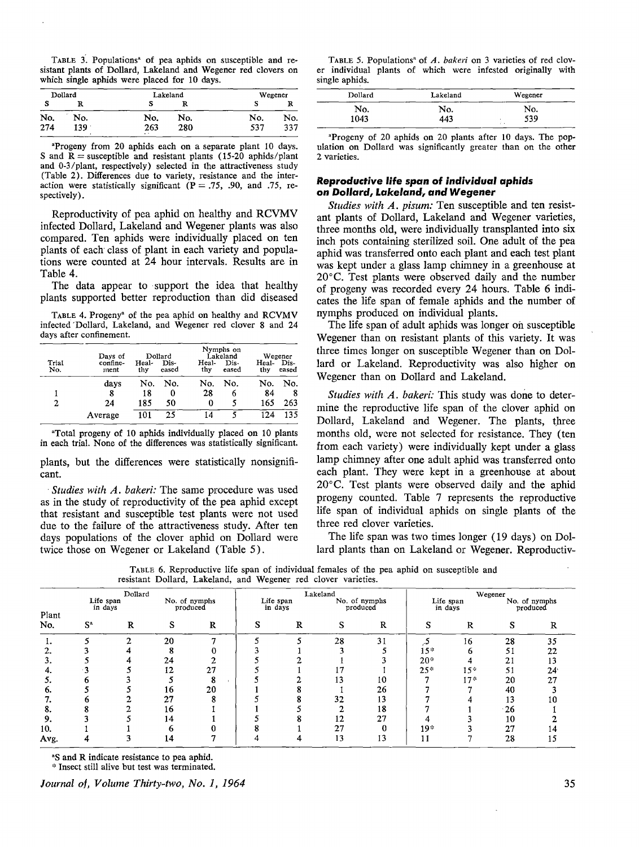TABLE 3. Populations<sup>ª</sup> of pea aphids on susceptible and resistant plants of Dollard, Lakeland and Wegener red clovers on which single aphids were placed for 10 days.

| Dollard |     |               | Lakeland | Wegener |     |  |
|---------|-----|---------------|----------|---------|-----|--|
| s       | R   | s             |          | s       | R   |  |
| No.     | No. | No.           | No.      | No.     | No. |  |
| 274     | 139 | 263<br>$\sim$ | 280      | 537     | 337 |  |

•Progeny from 20 aphids each on a separate plant 10 days. S and **<sup>R</sup>**= susceptible and resistant plants (15-20 aphids/plant and 0-3/plant, respectively) selected in the attractiveness study (Table 2). Differences due to variety, resistance and the interaction were statistically significant  $(P = .75, .90, .00, .75, .75)$ spectively).

Reproductivity of pea aphid on healthy and RCVMV infected Dollard, Lakeland and Wegener plants was also compared. Ten aphids were individually placed on ten plants of each· class of plant in each variety and populations were counted at 24 hour intervals. Results are in Table 4.

The data appear to support the idea that healthy plants supported better reproduction than did diseased

TABLE 4. Progeny• of the pea aphid on healthy and **RCVMV**  infected 'Dollard, Lakeland, and Wegener red clover 8 and 24 days after confinement.

| Trial<br>No. | Days of<br>confine-<br>ment | Heal-<br>thy | Dollard<br>Dis-<br>eased | Heal-<br>thv | Nymphs on<br>Lakeland<br>Dis-<br>eased | Heal-<br>thy | Wegener<br>Dis-<br>eased |
|--------------|-----------------------------|--------------|--------------------------|--------------|----------------------------------------|--------------|--------------------------|
|              | days                        | No.          | No.                      | No.          | No.                                    | No.          | No.                      |
|              | 8                           | 18           | 0                        | 28           | 6                                      | 84           | 8                        |
| 2            | 24                          | 185          | 50                       | 0            | 5                                      | 165          | 263                      |
|              | Average                     | 101          | 25                       | 14           |                                        | 174          | 135                      |

"Total progeny of 10 aphids individually placed on 10 plants in each trial. None of the differences was statistically significant.

plants, but the differences were statistically nonsignificant.

Studies with A. bakeri: The same procedure was used as in the study of reproductivity of the pea aphid except that resistant and susceptible test plants were not used due to the failure of the attractiveness study. After ten days populations of the clover aphid on Dollard were twice those on Wegener or Lakeland (Table 5).

| TABLE 5. Populations <sup>a</sup> of A. bakeri on 3 varieties of red clov- |  |  |  |  |
|----------------------------------------------------------------------------|--|--|--|--|
| er individual plants of which were infested originally with                |  |  |  |  |
| single aphids.                                                             |  |  |  |  |

| Dollard | Lakeland | Wegener   |
|---------|----------|-----------|
| No.     | No.      | No.       |
| 1043    | 443      | 539<br>L. |

•Progeny of 20 aphids on 20 plants after 10 days. The population on Dollard was significantly greater than on the other 2 varieties.

#### **Reproductive** *life span* **of** *individual aphids on* **Dollard,** *Lakeland.,* **and Wegener**

*Studies with A. pisum:* Ten susceptible and ten resistant plants of Dollard, Lakeland and Wegener varieties, three months old, were individually transplanted into six inch pots containing sterilized soil. One adult of the pea aphid was transferred onto each plant and each test plant was kept under a glass lamp chimney in a greenhouse at 20°C. Test plants were observed daily and the number of progeny was recorded every 24 hours. Table 6 indicates the life span of female aphids and the number of nymphs produced on individual plants.

The life span of adult aphids was longer oh susceptible Wegener than on resistant plants of this variety. It was three times longer on susceptible Wegener than on Dollard or Lakeland. Reproductivity was also higher on Wegener than on Dollard and Lakeland.

*Studies with A. bakeri:* This study was done to determine the reproductive life span of the clover aphid on Dollard, Lakeland and Wegener. The plants, three months old, were not selected for resistance. They ( ten from each variety) were individually kept under a glass lamp chimney after one adult aphid was transferred onto each plant. They were kept in a greenhouse at about 20°c. Test plants were observed daily and the aphid progeny counted. Table 7 represents the reproductive life span of individual aphids on single plants of the three red clover varieties.

The life span was two times longer ( 19 days) on Dollard plants than on Lakeland or Wegener. Reproductiv-

|       | Dollard              |   |    |                           |   |                      | Lakeland |                           | Wegener |                      |            |                           |
|-------|----------------------|---|----|---------------------------|---|----------------------|----------|---------------------------|---------|----------------------|------------|---------------------------|
| Plant | Life span<br>in days |   |    | No. of nymphs<br>produced |   | Life span<br>in days |          | No. of nymphs<br>produced |         | Life span<br>in days |            | No. of nymphs<br>produced |
| No.   | $S^*$                | R | s  | R                         | S | R                    |          | R                         |         | R                    | O.         |                           |
|       |                      | ◠ | 20 |                           |   |                      | 28       | 31                        |         | 16                   | 28         | 35                        |
|       |                      |   |    |                           |   |                      |          |                           | $15*$   | h                    | 51         | 22                        |
|       |                      |   | 24 |                           |   |                      |          |                           | $20 -$  |                      | 21         | 13                        |
|       |                      |   | 12 | 27                        |   |                      |          |                           | $25*$   | $15*$                | 51         | 24 <sup>°</sup>           |
|       |                      |   |    | o                         |   |                      | 13       | 10                        |         | $17*$                | 20         | 27                        |
| b.    |                      |   | 16 | 20                        |   |                      |          | 26                        |         |                      | 40         |                           |
|       |                      |   | 27 |                           |   |                      | 32       | 13                        |         |                      | 13         | 10                        |
| o.    |                      |   | 16 |                           |   |                      |          | 18                        |         |                      | $\cdot$ 26 |                           |
| 9.    |                      |   | 14 |                           |   |                      | 12       | 27                        |         |                      | 10         |                           |
| 10.   |                      |   |    |                           |   |                      | 27       | O                         | $19*$   |                      | 27         |                           |
| Avg.  |                      |   | 14 |                           |   |                      | 13       | 13                        |         |                      | 28         | 15                        |

TABLE 6. Reproductive life span of individual females of the pea aphid on susceptible and resistant Dollard, Lakeland, and Wegener red clover varieties.

<sup>a</sup>S and R indicate resistance to pea aphid.

'~ Insect still alive but test was terminated.